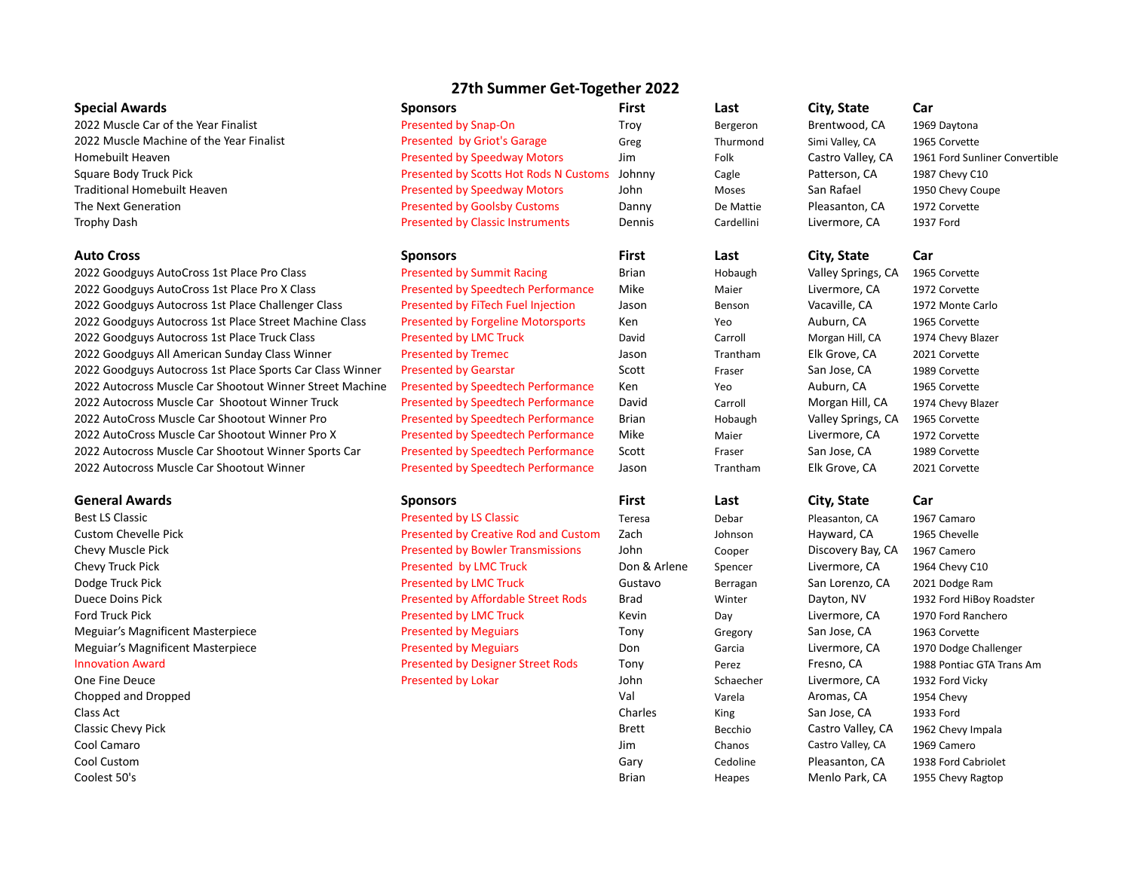# **27th Summer Get-Together 2022**

| <b>Special Awards</b>                                     | <b>Sponsors</b>                           | <b>First</b> | Last       | City, State        | Car                            |
|-----------------------------------------------------------|-------------------------------------------|--------------|------------|--------------------|--------------------------------|
| 2022 Muscle Car of the Year Finalist                      | Presented by Snap-On                      | Troy         | Bergeron   | Brentwood, CA      | 1969 Daytona                   |
| 2022 Muscle Machine of the Year Finalist                  | Presented by Griot's Garage               | Greg         | Thurmond   | Simi Valley, CA    | 1965 Corvette                  |
| Homebuilt Heaven                                          | <b>Presented by Speedway Motors</b>       | Jim          | Folk       | Castro Valley, CA  | 1961 Ford Sunliner Convertible |
| Square Body Truck Pick                                    | Presented by Scotts Hot Rods N Customs    | Johnny       | Cagle      | Patterson, CA      | 1987 Chevy C10                 |
| <b>Traditional Homebuilt Heaven</b>                       | <b>Presented by Speedway Motors</b>       | John         | Moses      | San Rafael         | 1950 Chevy Coupe               |
| The Next Generation                                       | <b>Presented by Goolsby Customs</b>       | Danny        | De Mattie  | Pleasanton, CA     | 1972 Corvette                  |
| <b>Trophy Dash</b>                                        | <b>Presented by Classic Instruments</b>   | Dennis       | Cardellini | Livermore, CA      | 1937 Ford                      |
| <b>Auto Cross</b>                                         | Sponsors                                  | <b>First</b> | Last       | City, State        | Car                            |
| 2022 Goodguys AutoCross 1st Place Pro Class               | <b>Presented by Summit Racing</b>         | Brian        | Hobaugh    | Valley Springs, CA | 1965 Corvette                  |
| 2022 Goodguys AutoCross 1st Place Pro X Class             | Presented by Speedtech Performance        | Mike         | Maier      | Livermore, CA      | 1972 Corvette                  |
| 2022 Goodguys Autocross 1st Place Challenger Class        | Presented by FiTech Fuel Injection        | Jason        | Benson     | Vacaville, CA      | 1972 Monte Carlo               |
| 2022 Goodguys Autocross 1st Place Street Machine Class    | <b>Presented by Forgeline Motorsports</b> | Ken          | Yeo        | Auburn, CA         | 1965 Corvette                  |
| 2022 Goodguys Autocross 1st Place Truck Class             | <b>Presented by LMC Truck</b>             | David        | Carroll    | Morgan Hill, CA    | 1974 Chevy Blazer              |
| 2022 Goodguys All American Sunday Class Winner            | <b>Presented by Tremec</b>                | Jason        | Trantham   | Elk Grove, CA      | 2021 Corvette                  |
| 2022 Goodguys Autocross 1st Place Sports Car Class Winner | <b>Presented by Gearstar</b>              | Scott        | Fraser     | San Jose, CA       | 1989 Corvette                  |
| 2022 Autocross Muscle Car Shootout Winner Street Machine  | <b>Presented by Speedtech Performance</b> | Ken          | Yeo        | Auburn, CA         | 1965 Corvette                  |
| 2022 Autocross Muscle Car Shootout Winner Truck           | <b>Presented by Speedtech Performance</b> | David        | Carroll    | Morgan Hill, CA    | 1974 Chevy Blazer              |
| 2022 AutoCross Muscle Car Shootout Winner Pro             | Presented by Speedtech Performance        | Brian        | Hobaugh    | Valley Springs, CA | 1965 Corvette                  |
| 2022 AutoCross Muscle Car Shootout Winner Pro X           | Presented by Speedtech Performance        | Mike         | Maier      | Livermore, CA      | 1972 Corvette                  |
| 2022 Autocross Muscle Car Shootout Winner Sports Car      | Presented by Speedtech Performance        | Scott        | Fraser     | San Jose, CA       | 1989 Corvette                  |
| 2022 Autocross Muscle Car Shootout Winner                 | Presented by Speedtech Performance        | Jason        | Trantham   | Elk Grove, CA      | 2021 Corvette                  |
| <b>General Awards</b>                                     | <b>Sponsors</b>                           | <b>First</b> | Last       | City, State        | Car                            |
| <b>Best LS Classic</b>                                    | <b>Presented by LS Classic</b>            | Teresa       | Debar      | Pleasanton, CA     | 1967 Camaro                    |
| <b>Custom Chevelle Pick</b>                               | Presented by Creative Rod and Custom      | Zach         | Johnson    | Hayward, CA        | 1965 Chevelle                  |
| Chevy Muscle Pick                                         | <b>Presented by Bowler Transmissions</b>  | John         | Cooper     | Discovery Bay, CA  | 1967 Camero                    |
| Chevy Truck Pick                                          | Presented by LMC Truck                    | Don & Arlene | Spencer    | Livermore, CA      | 1964 Chevy C10                 |
| Dodge Truck Pick                                          | <b>Presented by LMC Truck</b>             | Gustavo      | Berragan   | San Lorenzo, CA    | 2021 Dodge Ram                 |
| Duece Doins Pick                                          | Presented by Affordable Street Rods       | Brad         | Winter     | Dayton, NV         | 1932 Ford HiBoy Roadster       |
| <b>Ford Truck Pick</b>                                    | <b>Presented by LMC Truck</b>             | Kevin        | Day        | Livermore, CA      | 1970 Ford Ranchero             |
| Meguiar's Magnificent Masterpiece                         | <b>Presented by Meguiars</b>              | Tony         | Gregory    | San Jose, CA       | 1963 Corvette                  |
| <b>Meguiar's Magnificent Masterpiece</b>                  | <b>Presented by Meguiars</b>              | Don          | Garcia     | Livermore, CA      | 1970 Dodge Challenger          |
| <b>Innovation Award</b>                                   | <b>Presented by Designer Street Rods</b>  | Tony         | Perez      | Fresno, CA         | 1988 Pontiac GTA Trans Am      |
| One Fine Deuce                                            | <b>Presented by Lokar</b>                 | John         | Schaecher  | Livermore, CA      | 1932 Ford Vicky                |
| Chopped and Dropped                                       |                                           | Val          | Varela     | Aromas, CA         | 1954 Chevy                     |
| Class Act                                                 |                                           | Charles      | King       | San Jose, CA       | 1933 Ford                      |
| Classic Chevy Pick                                        |                                           | Brett        | Becchio    | Castro Valley, CA  | 1962 Chevy Impala              |
| Cool Camaro                                               |                                           | Jim          | Chanos     | Castro Valley, CA  | 1969 Camero                    |
| Cool Custom                                               |                                           | Gary         | Cedoline   | Pleasanton, CA     | 1938 Ford Cabriolet            |
| Coolest 50's                                              |                                           | <b>Brian</b> | Heapes     | Menlo Park, CA     | 1955 Chevy Ragtop              |

|                          | City, State           | Car                 |
|--------------------------|-----------------------|---------------------|
| eron                     | Brentwood, CA         | 1969 Daytona        |
| mond                     | Simi Valley, CA       | 1965 Corvette       |
|                          | Castro Valley, CA     | 1961 Ford Sunliner  |
| $\overline{\phantom{a}}$ | Patterson, CA         | 1987 Chevy C10      |
| эs                       | San Rafael            | 1950 Chevy Coupe    |
| lattie                   | Pleasanton, CA        | 1972 Corvette       |
| ellini                   | Livermore, CA         | 1937 Ford           |
|                          | City, State           | Car                 |
| มนgh                     | Valley Springs, CA    | 1965 Corvette       |
| r                        | Livermore, CA         | 1972 Corvette       |
| on                       | Vacaville, CA         | 1972 Monte Carlo    |
|                          | Auburn, CA            | 1965 Corvette       |
| ЫI                       | Morgan Hill, CA       | 1974 Chevy Blazer   |
| tham                     | Elk Grove, CA         | 2021 Corvette       |
| ₹r                       | San Jose, CA          | 1989 Corvette       |
|                          | Auburn, CA            | 1965 Corvette       |
| ЫI                       | Morgan Hill, CA       | 1974 Chevy Blazer   |
| เนgh                     | Valley Springs, CA    | 1965 Corvette       |
| 'n                       | Livermore, CA         | 1972 Corvette       |
| ۹ŕ                       | San Jose, CA          | 1989 Corvette       |
| tham                     | Elk Grove, CA         | 2021 Corvette       |
|                          | City, State           | Car                 |
| ır                       | Pleasanton, CA        | 1967 Camaro         |
| son                      | Hayward, CA           | 1965 Chevelle       |
| er                       | Discovery Bay, CA     | 1967 Camero         |
| cer                      | Livermore, CA         | 1964 Chevy C10      |
| agan                     | San Lorenzo, CA       | 2021 Dodge Ram      |
| er                       | Dayton, NV            | 1932 Ford HiBoy Ro  |
|                          | Livermore, CA         | 1970 Ford Ranchero  |
| ory                      | San Jose, CA          | 1963 Corvette       |
| ia                       | Livermore, CA         | 1970 Dodge Challer  |
| Z                        | Fresno, CA            | 1988 Pontiac GTA Ti |
| echer                    | Livermore, CA         | 1932 Ford Vicky     |
| la                       | Aromas, CA            | 1954 Chevy          |
|                          | San Jose, CA          | 1933 Ford           |
| hio                      | Castro Valley, CA     | 1962 Chevy Impala   |
| OS                       | Castro Valley, CA     | 1969 Camero         |
| line                     | Pleasanton, CA        | 1938 Ford Cabriolet |
|                          | $A \sim A + B \sim A$ |                     |